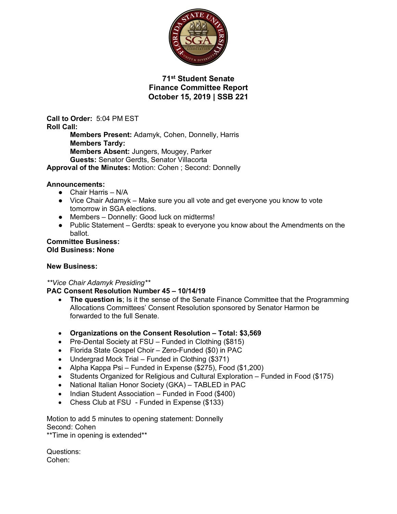

**71st Student Senate Finance Committee Report October 15, 2019 | SSB 221**

**Call to Order:** 5:04 PM EST **Roll Call: Members Present:** Adamyk, Cohen, Donnelly, Harris **Members Tardy: Members Absent:** Jungers, Mougey, Parker **Guests:** Senator Gerdts, Senator Villacorta **Approval of the Minutes:** Motion: Cohen ; Second: Donnelly

#### **Announcements:**

- Chair Harris N/A
- Vice Chair Adamyk Make sure you all vote and get everyone you know to vote tomorrow in SGA elections.
- Members Donnelly: Good luck on midterms!
- Public Statement Gerdts: speak to everyone you know about the Amendments on the ballot.

#### **Committee Business: Old Business: None**

#### **New Business:**

## *\*\*Vice Chair Adamyk Presiding\*\**

## **PAC Consent Resolution Number 45 – 10/14/19**

- **The question is**; Is it the sense of the Senate Finance Committee that the Programming Allocations Committees' Consent Resolution sponsored by Senator Harmon be forwarded to the full Senate.
- **Organizations on the Consent Resolution – Total: \$3,569**
- Pre-Dental Society at FSU Funded in Clothing (\$815)
- Florida State Gospel Choir Zero-Funded (\$0) in PAC
- Undergrad Mock Trial Funded in Clothing (\$371)
- Alpha Kappa Psi Funded in Expense (\$275), Food (\$1,200)
- Students Organized for Religious and Cultural Exploration Funded in Food (\$175)
- National Italian Honor Society (GKA) TABLED in PAC
- Indian Student Association Funded in Food (\$400)
- Chess Club at FSU Funded in Expense (\$133)

Motion to add 5 minutes to opening statement: Donnelly Second: Cohen

\*\*Time in opening is extended\*\*

Questions: Cohen: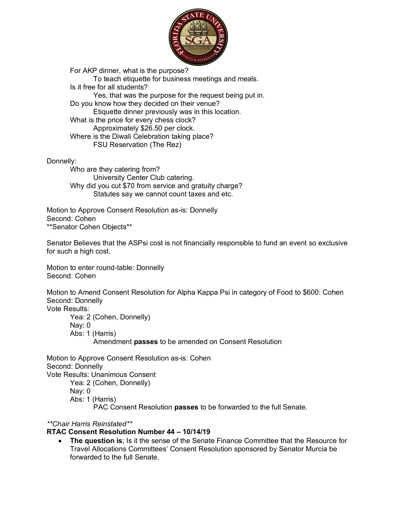

For AKP dinner, what is the purpose? To teach etiquette for business meetings and meals. Is it free for all students? Yes, that was the purpose for the request being put in. Do you know how they decided on their venue? Etiquette dinner previously was in this location. What is the price for every chess clock? Approximately \$26.50 per clock. Where is the Diwali Celebration taking place? FSU Reservation (The Rez)

Donnelly:

Who are they catering from? University Center Club catering. Why did you cut \$70 from service and gratuity charge? Statutes say we cannot count taxes and etc.

Motion to Approve Consent Resolution as-is: Donnelly Second: Cohen \*\*Senator Cohen Objects\*\*

Senator Believes that the ASPsi cost is not financially responsible to fund an event so exclusive for such a high cost.

Motion to enter round-table: Donnelly Second: Cohen

Motion to Amend Consent Resolution for Alpha Kappa Psi in category of Food to \$600: Cohen Second: Donnelly

Vote Results:

Yea: 2 (Cohen, Donnelly) Nay: 0 Abs: 1 (Harris) Amendment **passes** to be amended on Consent Resolution

Motion to Approve Consent Resolution as-is: Cohen Second: Donnelly Vote Results: Unanimous Consent Yea: 2 (Cohen, Donnelly) Nay: 0 Abs: 1 (Harris)

PAC Consent Resolution **passes** to be forwarded to the full Senate.

*\*\*Chair Harris Reinstated\*\**

## **RTAC Consent Resolution Number 44 – 10/14/19**

• **The question is**; Is it the sense of the Senate Finance Committee that the Resource for Travel Allocations Committees' Consent Resolution sponsored by Senator Murcia be forwarded to the full Senate.